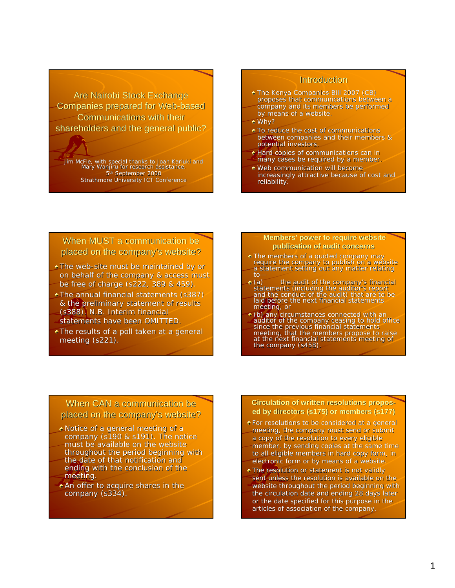Are Nairobi Stock Exchange Companies prepared for Web-based Communications with their shareholders and the general public?

Jim McFie, with special thanks to Joan Kariuki Kariuki and Mary Wanjiru for research assistance. 5<sup>th</sup> September 2008 Strathmore University ICT Conference

## **Introduction**

- $\bullet$  The Kenya Companies Bill 2007 (CB) proposes that communications between a company and its members be performed by means of a website.
- Why?
- $\bullet$  To reduce the cost of communications between companies and their members & potential investors.
- $\bullet$  Hard copies of communications can in many cases be required by a member.
- $\bullet$  Web communication will become
- increasingly attractive because of cost and reliability.

## When MUST a communication be placed on the company's website?

- $\bullet$  The web-site must be maintained by or on behalf of the company & access must be free of charge (s222, 389 & 459).
- $\bullet$  The annual financial statements (s387) & the preliminary statement of results (s388). N.B. Interim financial (s388). N.B. Interim financial statements have been OMITTED.
- $\triangle$ The results of a poll taken at a general meeting (s221).

#### **Members' power to require website publication of audit concerns**

- The members of a quoted company may require the company to publish on a website a statement setting out any matter relating to—
- $\bullet$  (a) the audit of the company's financial statements (including the auditor's report<br>and the conduct of the audit) that are to be laid before the next financial statements meeting, or
- (b) any circumstances connected with an auditor of the company ceasing to hold office since the previous financial statements meeting, that the members propose to raise at the next financial statements meeting of the company (s458).

## When CAN a communication be placed on the company's website?

- $\bullet$  Notice of a general meeting of a company  $(s190 & s191)$ . The notice must be available on the website throughout the period beginning with the date of that notification and ending with the conclusion of the meeting.
- $\star$  An offer to acquire shares in the company (s334).

### **Circulation of written resolutions proposed by directors (s175) or members (s177) members (s177)**

- For resolutions to be considered at a general For resolutions to be considered at a general meeting, the company must send or submit a copy of the resolution to every eligible member, by sending copies at the same time to all eligible members in hard copy form, in electronic form or by means of a website.
- $\overline{\bullet}$  The resolution or statement is not validly sent unless the resolution is available on the website throughout the period beginning with the circulation date and ending 28 days later or the date specified for this purpose in the articles of association of the company.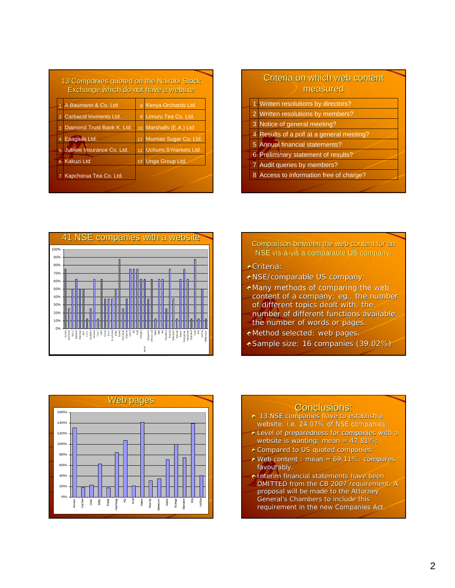| 13 Companies quoted on the Nairobi Stock<br>Exchange which do not have a website |                              |  |                          |
|----------------------------------------------------------------------------------|------------------------------|--|--------------------------|
|                                                                                  | 1 A Baumann & Co. Ltd        |  | 8 Kenya Orchards Ltd.    |
| 2 <sup>1</sup>                                                                   | Carbacid Invments Ltd.       |  | 9 Limuru Tea Co. Ltd.    |
|                                                                                  | 3 Diamond Trust Bank K. Ltd. |  | 10 Marshalls (E.A.) Ltd  |
| $\overline{4}$                                                                   | Eaagads Ltd.                 |  | 11 Mumias Sugar Co. Ltd. |
|                                                                                  | 5 Jubilee Insurance Co. Ltd. |  | 12 Uchumi S'markets Ltd. |
| $\overline{6}$                                                                   | <b>Kakuzi Ltd</b>            |  | 13 Unga Group Ltd.       |
|                                                                                  | 7 Kapchorua Tea Co. Ltd.     |  |                          |

# Criteria on which web content measured

- 1 Written resolutions by directors?
- 2 Written resolutions by members?
- 3 Notice of general meeting?
- 4 Results of a poll at a general meeting?
- 5 Annual financial statements?
- 6 Preliminary statement of results?
- 7 Audit queries by members?
- 8 Access to information free of charge?



- Comparison between the web content for an NSE vis-à-vis a comparable US company.
- **Criteria:**
- NSE/comparable US company:
- $\bullet$  Many methods of comparing the web content of a company; eg., the number of different topics dealt with, the number of different functions available,
- the number of words or pages.
- $\bullet$  Method selected: web pages.
- Sample size: 16 companies (39.02%)



- **13 NSE companies have to establish a** website: i.e. 24.07% of NSE companies;
- Level of preparedness for companies with a Level of preparedness for companies with a website is wanting: mean = 47.81%;
- **\* Compared to US quoted companies:**
- $\bullet$  Web content : mean = 69.11%: compares favourably.
- **Interim financial statements have been** OMITTED from the CB 2007 requirement. A
- proposal will be made to the Attorney General's Chambers to include this requirement in the new Companies Act.